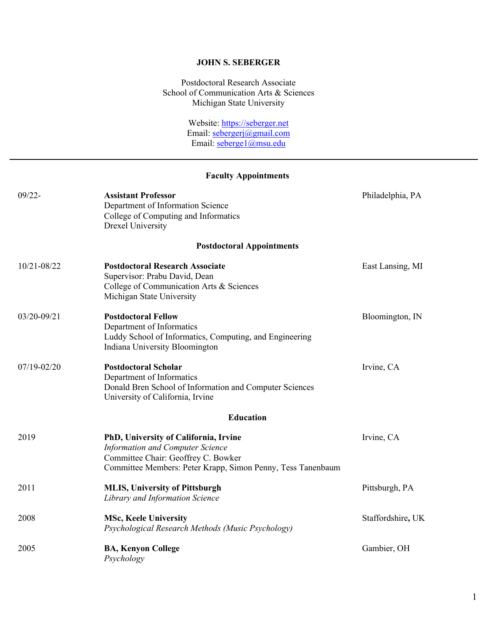### **JOHN S. SEBERGER**

Postdoctoral Research Associate School of Communication Arts & Sciences Michigan State University

> Website: https://seberger.net Email: sebergerj@gmail.com Email: seberge1@msu.edu

### **Faculty Appointments**

| $09/22 -$   | <b>Assistant Professor</b><br>Department of Information Science<br>College of Computing and Informatics<br><b>Drexel University</b>                                                    | Philadelphia, PA  |
|-------------|----------------------------------------------------------------------------------------------------------------------------------------------------------------------------------------|-------------------|
|             | <b>Postdoctoral Appointments</b>                                                                                                                                                       |                   |
| 10/21-08/22 | <b>Postdoctoral Research Associate</b><br>Supervisor: Prabu David, Dean<br>College of Communication Arts & Sciences<br>Michigan State University                                       | East Lansing, MI  |
| 03/20-09/21 | <b>Postdoctoral Fellow</b><br>Department of Informatics<br>Luddy School of Informatics, Computing, and Engineering<br>Indiana University Bloomington                                   | Bloomington, IN   |
| 07/19-02/20 | <b>Postdoctoral Scholar</b><br>Department of Informatics<br>Donald Bren School of Information and Computer Sciences<br>University of California, Irvine                                | Irvine, CA        |
|             | <b>Education</b>                                                                                                                                                                       |                   |
| 2019        | PhD, University of California, Irvine<br><b>Information and Computer Science</b><br>Committee Chair: Geoffrey C. Bowker<br>Committee Members: Peter Krapp, Simon Penny, Tess Tanenbaum | Irvine, CA        |
| 2011        | <b>MLIS, University of Pittsburgh</b><br>Library and Information Science                                                                                                               | Pittsburgh, PA    |
| 2008        | <b>MSc, Keele University</b><br>Psychological Research Methods (Music Psychology)                                                                                                      | Staffordshire, UK |
| 2005        | <b>BA, Kenyon College</b><br>Psychology                                                                                                                                                | Gambier, OH       |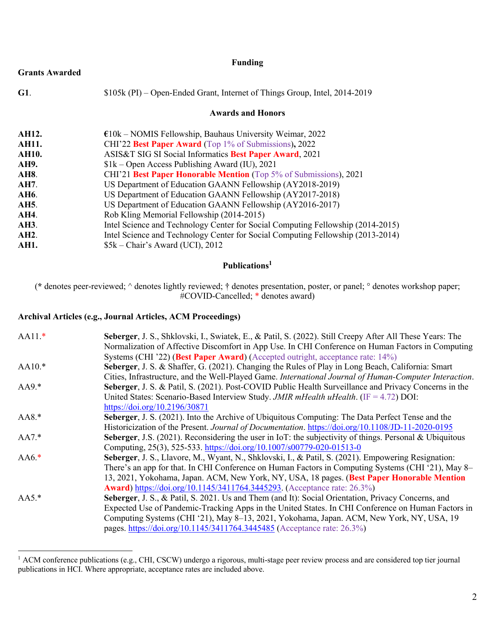|                       | <b>Funding</b>                                                                  |
|-----------------------|---------------------------------------------------------------------------------|
| <b>Grants Awarded</b> |                                                                                 |
| G1.                   | \$105k (PI) – Open-Ended Grant, Internet of Things Group, Intel, 2014-2019      |
|                       | <b>Awards and Honors</b>                                                        |
| AH12.                 | $£10k - NOMIS$ Fellowship, Bauhaus University Weimar, 2022                      |
| <b>AH11.</b>          | CHI'22 Best Paper Award (Top 1% of Submissions), 2022                           |
| <b>AH10.</b>          | ASIS&T SIG SI Social Informatics Best Paper Award, 2021                         |
| AH9.                  | $$1k$ – Open Access Publishing Award (IU), 2021                                 |
| <b>AH8.</b>           | CHI'21 Best Paper Honorable Mention (Top 5% of Submissions), 2021               |
| AH7.                  | US Department of Education GAANN Fellowship (AY2018-2019)                       |
| <b>AH6.</b>           | US Department of Education GAANN Fellowship (AY2017-2018)                       |
| AH5.                  | US Department of Education GAANN Fellowship (AY2016-2017)                       |
| AH4.                  | Rob Kling Memorial Fellowship (2014-2015)                                       |
| AH3.                  |                                                                                 |
| AH2.                  | Intel Science and Technology Center for Social Computing Fellowship (2013-2014) |
| AH1.                  | $$5k$ – Chair's Award (UCI), 2012                                               |
|                       | Intel Science and Technology Center for Social Computing Fellowship (2014-2015) |

# **Publications1**

(**\*** denotes peer-reviewed; ^ denotes lightly reviewed; † denotes presentation, poster, or panel; ° denotes workshop paper; #COVID-Cancelled; \* denotes award)

### **Archival Articles (e.g., Journal Articles, ACM Proceedings)**

| $AA11.*$ | Seberger, J. S., Shklovski, I., Swiatek, E., & Patil, S. (2022). Still Creepy After All These Years: The |
|----------|----------------------------------------------------------------------------------------------------------|
|          | Normalization of Affective Discomfort in App Use. In CHI Conference on Human Factors in Computing        |
|          | Systems (CHI '22) (Best Paper Award) (Accepted outright, acceptance rate: 14%)                           |
| $AA10.*$ | Seberger, J. S. & Shaffer, G. (2021). Changing the Rules of Play in Long Beach, California: Smart        |
|          | Cities, Infrastructure, and the Well-Played Game. International Journal of Human-Computer Interaction.   |
| $AA9.*$  | Seberger, J. S. & Patil, S. (2021). Post-COVID Public Health Surveillance and Privacy Concerns in the    |
|          | United States: Scenario-Based Interview Study. JMIR mHealth uHealth. (IF = 4.72) DOI:                    |
|          | https://doi.org/10.2196/30871                                                                            |
| $AA8.*$  | Seberger, J. S. (2021). Into the Archive of Ubiquitous Computing: The Data Perfect Tense and the         |
|          | Historicization of the Present. Journal of Documentation. https://doi.org/10.1108/JD-11-2020-0195        |
| $AA7.*$  | Seberger, J.S. (2021). Reconsidering the user in IoT: the subjectivity of things. Personal & Ubiquitous  |
|          | Computing, 25(3), 525-533. https://doi.org/10.1007/s00779-020-01513-0                                    |
| $AA6.*$  | Seberger, J. S., Llavore, M., Wyant, N., Shklovski, I., & Patil, S. (2021). Empowering Resignation:      |
|          | There's an app for that. In CHI Conference on Human Factors in Computing Systems (CHI '21), May 8–       |
|          | 13, 2021, Yokohama, Japan. ACM, New York, NY, USA, 18 pages. (Best Paper Honorable Mention               |
|          | <b>Award</b> ) https://doi.org/10.1145/3411764.3445293. (Acceptance rate: 26.3%)                         |
| $AA5.*$  | Seberger, J. S., & Patil, S. 2021. Us and Them (and It): Social Orientation, Privacy Concerns, and       |
|          | Expected Use of Pandemic-Tracking Apps in the United States. In CHI Conference on Human Factors in       |
|          | Computing Systems (CHI '21), May 8-13, 2021, Yokohama, Japan. ACM, New York, NY, USA, 19                 |
|          | pages. https://doi.org/10.1145/3411764.3445485 (Acceptance rate: 26.3%)                                  |

<sup>&</sup>lt;sup>1</sup> ACM conference publications (e.g., CHI, CSCW) undergo a rigorous, multi-stage peer review process and are considered top tier journal publications in HCI. Where appropriate, acceptance rates are included above.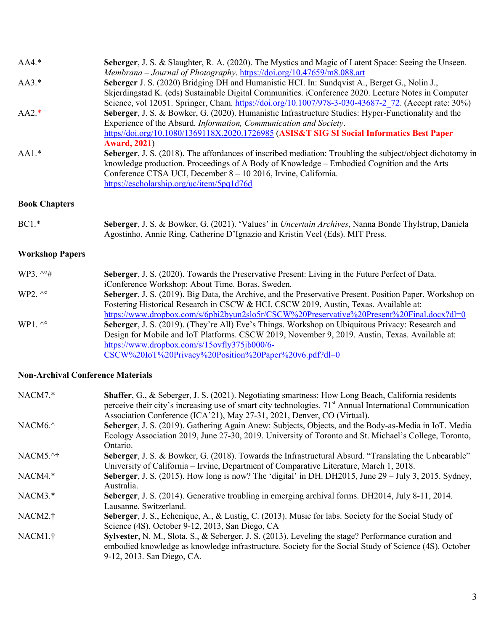| $AA4.*$                | Seberger, J. S. & Slaughter, R. A. (2020). The Mystics and Magic of Latent Space: Seeing the Unseen.<br>Membrana - Journal of Photography. https://doi.org/10.47659/m8.088.art                                                                                                                                         |
|------------------------|------------------------------------------------------------------------------------------------------------------------------------------------------------------------------------------------------------------------------------------------------------------------------------------------------------------------|
| $AA3.*$                | Seberger J. S. (2020) Bridging DH and Humanistic HCI. In: Sundqvist A., Berget G., Nolin J.,<br>Skjerdingstad K. (eds) Sustainable Digital Communities. iConference 2020. Lecture Notes in Computer<br>Science, vol 12051. Springer, Cham. https://doi.org/10.1007/978-3-030-43687-2 72. (Accept rate: 30%)            |
| $AA2.*$                | Seberger, J. S. & Bowker, G. (2020). Humanistic Infrastructure Studies: Hyper-Functionality and the<br>Experience of the Absurd. Information, Communication and Society.<br>https//doi.org/10.1080/1369118X.2020.1726985 (ASIS&T SIG SI Social Informatics Best Paper<br><b>Award, 2021)</b>                           |
| $AA1.*$                | Seberger, J. S. (2018). The affordances of inscribed mediation: Troubling the subject/object dichotomy in<br>knowledge production. Proceedings of A Body of Knowledge – Embodied Cognition and the Arts<br>Conference CTSA UCI, December 8 - 10 2016, Irvine, California.<br>https://escholarship.org/uc/item/5pq1d76d |
| <b>Book Chapters</b>   |                                                                                                                                                                                                                                                                                                                        |
| $BC1.*$                | Seberger, J. S. & Bowker, G. (2021). 'Values' in <i>Uncertain Archives</i> , Nanna Bonde Thylstrup, Daniela<br>Agostinho, Annie Ring, Catherine D'Ignazio and Kristin Veel (Eds). MIT Press.                                                                                                                           |
| <b>Workshop Papers</b> |                                                                                                                                                                                                                                                                                                                        |
| WP3. $\sim$ #          | Seberger, J. S. (2020). Towards the Preservative Present: Living in the Future Perfect of Data.<br>iConference Workshop: About Time. Boras, Sweden.                                                                                                                                                                    |
| WP2. $\wedge^{\circ}$  | Seberger, J. S. (2019). Big Data, the Archive, and the Preservative Present. Position Paper. Workshop on<br>Fostering Historical Research in CSCW & HCI. CSCW 2019, Austin, Texas. Available at:<br>https://www.dropbox.com/s/6pbi2byun2slo5r/CSCW%20Preservative%20Present%20Final.docx?dl=0                          |
| WP1. $\wedge^{\circ}$  | Seberger, J. S. (2019). (They're All) Eve's Things. Workshop on Ubiquitous Privacy: Research and<br>Design for Mobile and IoT Platforms. CSCW 2019, November 9, 2019. Austin, Texas. Available at:<br>https://www.dropbox.com/s/15ovfly375jb000/6-<br>CSCW%20IoT%20Privacy%20Position%20Paper%20v6.pdf?dl=0            |

### **Non-Archival Conference Materials**

| NACM7.*              | <b>Shaffer, G., &amp; Seberger, J. S. (2021).</b> Negotiating smartness: How Long Beach, California residents<br>perceive their city's increasing use of smart city technologies. 71 <sup>st</sup> Annual International Communication<br>Association Conference (ICA'21), May 27-31, 2021, Denver, CO (Virtual). |
|----------------------|------------------------------------------------------------------------------------------------------------------------------------------------------------------------------------------------------------------------------------------------------------------------------------------------------------------|
| NACM <sub>6.</sub> ^ | Seberger, J. S. (2019). Gathering Again Anew: Subjects, Objects, and the Body-as-Media in IoT. Media<br>Ecology Association 2019, June 27-30, 2019. University of Toronto and St. Michael's College, Toronto,<br>Ontario.                                                                                        |
| NACM5.^†             | Seberger, J. S. & Bowker, G. (2018). Towards the Infrastructural Absurd. "Translating the Unbearable"<br>University of California – Irvine, Department of Comparative Literature, March 1, 2018.                                                                                                                 |
| NACM4.*              | Seberger, J. S. (2015). How long is now? The 'digital' in DH. DH2015, June $29 - \text{July } 3$ , 2015. Sydney,<br>Australia.                                                                                                                                                                                   |
| $NACM3.*$            | Seberger, J. S. (2014). Generative troubling in emerging archival forms. DH2014, July 8-11, 2014.<br>Lausanne, Switzerland.                                                                                                                                                                                      |
| NACM2. <sup>†</sup>  | Seberger, J. S., Echenique, A., & Lustig, C. (2013). Music for labs. Society for the Social Study of<br>Science (4S). October 9-12, 2013, San Diego, CA                                                                                                                                                          |
| NACM1.†              | Sylvester, N. M., Slota, S., & Seberger, J. S. (2013). Leveling the stage? Performance curation and<br>embodied knowledge as knowledge infrastructure. Society for the Social Study of Science (4S). October<br>9-12, 2013. San Diego, CA.                                                                       |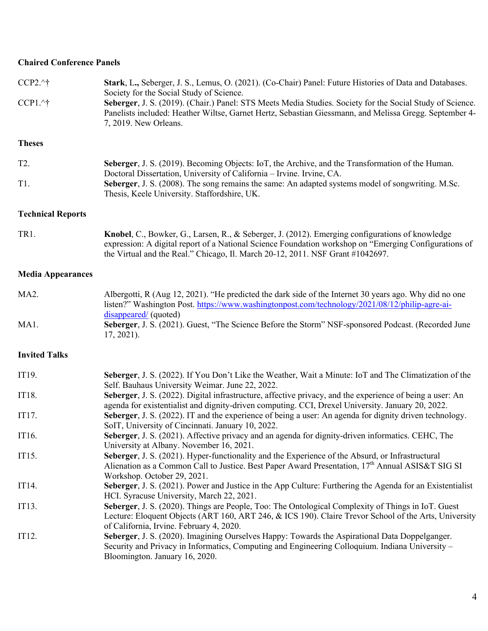## **Chaired Conference Panels**

| $CCP2.^{\wedge}$ †       | Stark, L., Seberger, J. S., Lemus, O. (2021). (Co-Chair) Panel: Future Histories of Data and Databases.<br>Society for the Social Study of Science.                                                                                                                                        |
|--------------------------|--------------------------------------------------------------------------------------------------------------------------------------------------------------------------------------------------------------------------------------------------------------------------------------------|
| $CCP1.^{\wedge}$ †       | Seberger, J. S. (2019). (Chair.) Panel: STS Meets Media Studies. Society for the Social Study of Science.<br>Panelists included: Heather Wiltse, Garnet Hertz, Sebastian Giessmann, and Melissa Gregg. September 4-<br>7, 2019. New Orleans.                                               |
| <b>Theses</b>            |                                                                                                                                                                                                                                                                                            |
| T <sub>2</sub> .         | Seberger, J. S. (2019). Becoming Objects: IoT, the Archive, and the Transformation of the Human.<br>Doctoral Dissertation, University of California - Irvine. Irvine, CA.                                                                                                                  |
| T1.                      | Seberger, J. S. (2008). The song remains the same: An adapted systems model of songwriting. M.Sc.<br>Thesis, Keele University. Staffordshire, UK.                                                                                                                                          |
| <b>Technical Reports</b> |                                                                                                                                                                                                                                                                                            |
| TR1.                     | Knobel, C., Bowker, G., Larsen, R., & Seberger, J. (2012). Emerging configurations of knowledge<br>expression: A digital report of a National Science Foundation workshop on "Emerging Configurations of<br>the Virtual and the Real." Chicago, Il. March 20-12, 2011. NSF Grant #1042697. |
| <b>Media Appearances</b> |                                                                                                                                                                                                                                                                                            |
| MA <sub>2</sub> .        | Albergotti, R (Aug 12, 2021). "He predicted the dark side of the Internet 30 years ago. Why did no one<br>listen?" Washington Post. https://www.washingtonpost.com/technology/2021/08/12/philip-agre-ai-<br>disappeared/ (quoted)                                                          |
| MA1.                     | Seberger, J. S. (2021). Guest, "The Science Before the Storm" NSF-sponsored Podcast. (Recorded June<br>$17, 2021$ ).                                                                                                                                                                       |
| <b>Invited Talks</b>     |                                                                                                                                                                                                                                                                                            |
| IT19.                    | Seberger, J. S. (2022). If You Don't Like the Weather, Wait a Minute: IoT and The Climatization of the<br>Self. Bauhaus University Weimar. June 22, 2022.                                                                                                                                  |
| IT18.                    | Seberger, J. S. (2022). Digital infrastructure, affective privacy, and the experience of being a user: An<br>agenda for existentialist and dignity-driven computing. CCI, Drexel University. January 20, 2022.                                                                             |
| IT17.                    | Seberger, J. S. (2022). IT and the experience of being a user: An agenda for dignity driven technology.<br>SoIT, University of Cincinnati. January 10, 2022.                                                                                                                               |
| IT16.                    | Seberger, J. S. (2021). Affective privacy and an agenda for dignity-driven informatics. CEHC, The<br>University at Albany. November 16, 2021.                                                                                                                                              |
| IT15.                    | Seberger, J. S. (2021). Hyper-functionality and the Experience of the Absurd, or Infrastructural<br>Alienation as a Common Call to Justice. Best Paper Award Presentation, 17 <sup>th</sup> Annual ASIS&T SIG SI<br>Workshop. October 29, 2021.                                            |
| IT14.                    | Seberger, J. S. (2021). Power and Justice in the App Culture: Furthering the Agenda for an Existentialist<br>HCI. Syracuse University, March 22, 2021.                                                                                                                                     |
| IT13.                    | Seberger, J. S. (2020). Things are People, Too: The Ontological Complexity of Things in IoT. Guest<br>Lecture: Eloquent Objects (ART 160, ART 246, & ICS 190). Claire Trevor School of the Arts, University<br>of California, Irvine. February 4, 2020.                                    |
| IT12.                    | Seberger, J. S. (2020). Imagining Ourselves Happy: Towards the Aspirational Data Doppelganger.<br>Security and Privacy in Informatics, Computing and Engineering Colloquium. Indiana University -<br>Bloomington. January 16, 2020.                                                        |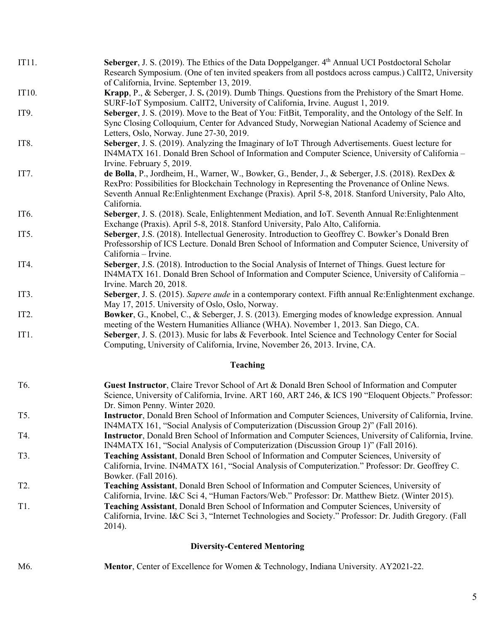| IT11.             | Seberger, J. S. (2019). The Ethics of the Data Doppelganger. 4 <sup>th</sup> Annual UCI Postdoctoral Scholar<br>Research Symposium. (One of ten invited speakers from all postdocs across campus.) CalIT2, University<br>of California, Irvine. September 13, 2019.                                                        |
|-------------------|----------------------------------------------------------------------------------------------------------------------------------------------------------------------------------------------------------------------------------------------------------------------------------------------------------------------------|
| IT10.             | Krapp, P., & Seberger, J. S. (2019). Dumb Things. Questions from the Prehistory of the Smart Home.<br>SURF-IoT Symposium. CalIT2, University of California, Irvine. August 1, 2019.                                                                                                                                        |
| IT9.              | Seberger, J. S. (2019). Move to the Beat of You: FitBit, Temporality, and the Ontology of the Self. In<br>Sync Closing Colloquium, Center for Advanced Study, Norwegian National Academy of Science and<br>Letters, Oslo, Norway. June 27-30, 2019.                                                                        |
| IT <sub>8</sub> . | Seberger, J. S. (2019). Analyzing the Imaginary of IoT Through Advertisements. Guest lecture for<br>IN4MATX 161. Donald Bren School of Information and Computer Science, University of California -<br>Irvine. February 5, 2019.                                                                                           |
| IT7.              | de Bolla, P., Jordheim, H., Warner, W., Bowker, G., Bender, J., & Seberger, J.S. (2018). RexDex &<br>RexPro: Possibilities for Blockchain Technology in Representing the Provenance of Online News.<br>Seventh Annual Re: Enlightenment Exchange (Praxis). April 5-8, 2018. Stanford University, Palo Alto,<br>California. |
| IT <sub>6</sub> . | Seberger, J. S. (2018). Scale, Enlightenment Mediation, and IoT. Seventh Annual Re: Enlightenment<br>Exchange (Praxis). April 5-8, 2018. Stanford University, Palo Alto, California.                                                                                                                                       |
| IT <sub>5</sub> . | Seberger, J.S. (2018). Intellectual Generosity. Introduction to Geoffrey C. Bowker's Donald Bren<br>Professorship of ICS Lecture. Donald Bren School of Information and Computer Science, University of<br>California - Irvine.                                                                                            |
| IT4.              | Seberger, J.S. (2018). Introduction to the Social Analysis of Internet of Things. Guest lecture for<br>IN4MATX 161. Donald Bren School of Information and Computer Science, University of California -<br>Irvine. March 20, 2018.                                                                                          |
| IT3.              | Seberger, J. S. (2015). Sapere aude in a contemporary context. Fifth annual Re: Enlightenment exchange.<br>May 17, 2015. University of Oslo, Oslo, Norway.                                                                                                                                                                 |
| IT <sub>2</sub> . | Bowker, G., Knobel, C., & Seberger, J. S. (2013). Emerging modes of knowledge expression. Annual<br>meeting of the Western Humanities Alliance (WHA). November 1, 2013. San Diego, CA.                                                                                                                                     |
| IT <sub>1</sub> . | Seberger, J. S. (2013). Music for labs & Feverbook. Intel Science and Technology Center for Social<br>Computing, University of California, Irvine, November 26, 2013. Irvine, CA.                                                                                                                                          |
|                   | <b>Teaching</b>                                                                                                                                                                                                                                                                                                            |
| T <sub>6</sub> .  | Guest Instructor, Claire Trevor School of Art & Donald Bren School of Information and Computer<br>Science, University of California, Irvine. ART 160, ART 246, & ICS 190 "Eloquent Objects." Professor:<br>Dr. Simon Penny. Winter 2020.                                                                                   |
| T5.               | Instructor, Donald Bren School of Information and Computer Sciences, University of California, Irvine.<br>IN4MATX 161, "Social Analysis of Computerization (Discussion Group 2)" (Fall 2016).                                                                                                                              |
| T4.               | Instructor, Donald Bren School of Information and Computer Sciences, University of California, Irvine.<br>IN4MATX 161, "Social Analysis of Computerization (Discussion Group 1)" (Fall 2016).                                                                                                                              |
| T3.               | Teaching Assistant, Donald Bren School of Information and Computer Sciences, University of<br>California, Irvine. IN4MATX 161, "Social Analysis of Computerization." Professor: Dr. Geoffrey C.<br>Bowker. (Fall 2016).                                                                                                    |
| T <sub>2</sub> .  | Teaching Assistant, Donald Bren School of Information and Computer Sciences, University of<br>California, Irvine. I&C Sci 4, "Human Factors/Web." Professor: Dr. Matthew Bietz. (Winter 2015).                                                                                                                             |
| T <sub>1</sub> .  | Teaching Assistant, Donald Bren School of Information and Computer Sciences, University of<br>California, Irvine. I&C Sci 3, "Internet Technologies and Society." Professor: Dr. Judith Gregory. (Fall<br>2014).                                                                                                           |
|                   | <b>Diversity-Centered Mentoring</b>                                                                                                                                                                                                                                                                                        |

# M6. **Mentor**, Center of Excellence for Women & Technology, Indiana University. AY2021-22.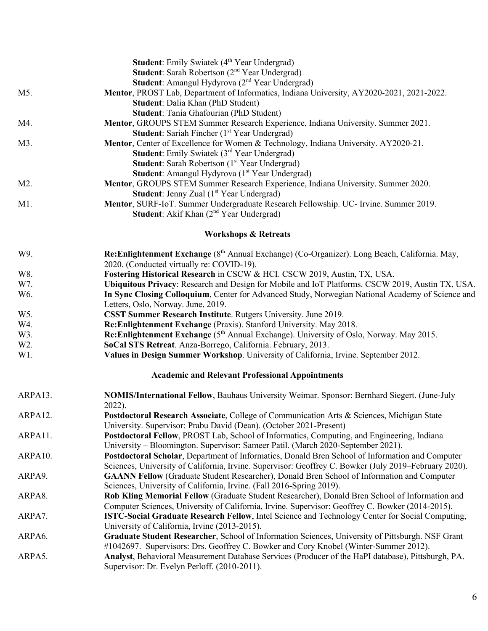|         | <b>Student:</b> Emily Swiatek (4 <sup>th</sup> Year Undergrad)<br><b>Student:</b> Sarah Robertson (2 <sup>nd</sup> Year Undergrad)                 |
|---------|----------------------------------------------------------------------------------------------------------------------------------------------------|
|         | <b>Student:</b> Amangul Hydyrova (2 <sup>nd</sup> Year Undergrad)                                                                                  |
| M5.     | Mentor, PROST Lab, Department of Informatics, Indiana University, AY2020-2021, 2021-2022.                                                          |
|         | Student: Dalia Khan (PhD Student)                                                                                                                  |
|         | Student: Tania Ghafourian (PhD Student)                                                                                                            |
| M4.     | Mentor, GROUPS STEM Summer Research Experience, Indiana University. Summer 2021.                                                                   |
|         | <b>Student:</b> Sariah Fincher (1 <sup>st</sup> Year Undergrad)                                                                                    |
| M3.     | Mentor, Center of Excellence for Women & Technology, Indiana University. AY2020-21.                                                                |
|         | <b>Student:</b> Emily Swiatek (3 <sup>rd</sup> Year Undergrad)                                                                                     |
|         | <b>Student:</b> Sarah Robertson (1 <sup>st</sup> Year Undergrad)                                                                                   |
|         | <b>Student:</b> Amangul Hydyrova (1 <sup>st</sup> Year Undergrad)                                                                                  |
| M2.     | Mentor, GROUPS STEM Summer Research Experience, Indiana University. Summer 2020.                                                                   |
|         | <b>Student:</b> Jenny Zual (1 <sup>st</sup> Year Undergrad)                                                                                        |
| M1.     | Mentor, SURF-IoT. Summer Undergraduate Research Fellowship. UC- Irvine. Summer 2019.                                                               |
|         | <b>Student:</b> Akif Khan (2 <sup>nd</sup> Year Undergrad)                                                                                         |
|         |                                                                                                                                                    |
|         | <b>Workshops &amp; Retreats</b>                                                                                                                    |
| W9.     | Re: Enlightenment Exchange (8 <sup>th</sup> Annual Exchange) (Co-Organizer). Long Beach, California. May,                                          |
|         | 2020. (Conducted virtually re: COVID-19).                                                                                                          |
| W8.     | Fostering Historical Research in CSCW & HCI. CSCW 2019, Austin, TX, USA.                                                                           |
| W7.     | Ubiquitous Privacy: Research and Design for Mobile and IoT Platforms. CSCW 2019, Austin TX, USA.                                                   |
| W6.     | In Sync Closing Colloquium, Center for Advanced Study, Norwegian National Academy of Science and                                                   |
|         | Letters, Oslo, Norway. June, 2019.                                                                                                                 |
| W5.     | CSST Summer Research Institute. Rutgers University. June 2019.                                                                                     |
| W4.     | Re:Enlightenment Exchange (Praxis). Stanford University. May 2018.                                                                                 |
| W3.     | Re: Enlightenment Exchange (5 <sup>th</sup> Annual Exchange). University of Oslo, Norway. May 2015.                                                |
| W2.     | SoCal STS Retreat. Anza-Borrego, California. February, 2013.                                                                                       |
| W1.     | Values in Design Summer Workshop. University of California, Irvine. September 2012.                                                                |
|         | <b>Academic and Relevant Professional Appointments</b>                                                                                             |
| ARPA13. | <b>NOMIS/International Fellow, Bauhaus University Weimar. Sponsor: Bernhard Siegert. (June-July</b>                                                |
|         | 2022).                                                                                                                                             |
| ARPA12. | Postdoctoral Research Associate, College of Communication Arts & Sciences, Michigan State                                                          |
|         | University. Supervisor: Prabu David (Dean). (October 2021-Present)                                                                                 |
| ARPA11. | Postdoctoral Fellow, PROST Lab, School of Informatics, Computing, and Engineering, Indiana                                                         |
|         | University – Bloomington. Supervisor: Sameer Patil. (March 2020-September 2021).                                                                   |
| ARPA10. | Postdoctoral Scholar, Department of Informatics, Donald Bren School of Information and Computer                                                    |
|         | Sciences, University of California, Irvine. Supervisor: Geoffrey C. Bowker (July 2019–February 2020).                                              |
| ARPA9.  | <b>GAANN Fellow</b> (Graduate Student Researcher), Donald Bren School of Information and Computer                                                  |
|         | Sciences, University of California, Irvine. (Fall 2016-Spring 2019).                                                                               |
| ARPA8.  | Rob Kling Memorial Fellow (Graduate Student Researcher), Donald Bren School of Information and                                                     |
|         | Computer Sciences, University of California, Irvine. Supervisor: Geoffrey C. Bowker (2014-2015).                                                   |
| ARPA7.  | <b>ISTC-Social Graduate Research Fellow</b> , Intel Science and Technology Center for Social Computing,                                            |
|         | University of California, Irvine (2013-2015).                                                                                                      |
| ARPA6.  | Graduate Student Researcher, School of Information Sciences, University of Pittsburgh. NSF Grant                                                   |
|         | #1042697. Supervisors: Drs. Geoffrey C. Bowker and Cory Knobel (Winter-Summer 2012).                                                               |
| ARPA5.  | Analyst, Behavioral Measurement Database Services (Producer of the HaPI database), Pittsburgh, PA.<br>Supervisor: Dr. Evelyn Perloff. (2010-2011). |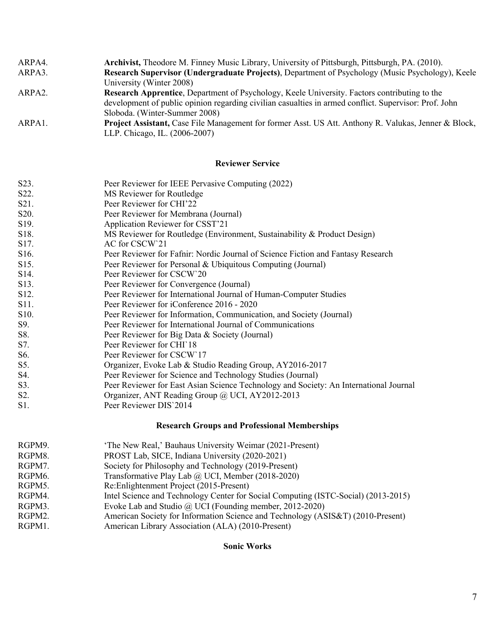| ARPA4.              | Archivist, Theodore M. Finney Music Library, University of Pittsburgh, Pittsburgh, PA. (2010).                  |
|---------------------|-----------------------------------------------------------------------------------------------------------------|
| ARPA3.              | <b>Research Supervisor (Undergraduate Projects), Department of Psychology (Music Psychology), Keele</b>         |
|                     | University (Winter 2008)                                                                                        |
| ARPA <sub>2</sub> . | Research Apprentice, Department of Psychology, Keele University. Factors contributing to the                    |
|                     | development of public opinion regarding civilian casualties in armed conflict. Supervisor: Prof. John           |
|                     | Sloboda. (Winter-Summer 2008)                                                                                   |
| ARPA1.              | <b>Project Assistant, Case File Management for former Asst. US Att. Anthony R. Valukas, Jenner &amp; Block,</b> |

#### **Reviewer Service**

| S23.   | Peer Reviewer for IEEE Pervasive Computing (2022)                                                                                                                                                                                                                                                                                      |
|--------|----------------------------------------------------------------------------------------------------------------------------------------------------------------------------------------------------------------------------------------------------------------------------------------------------------------------------------------|
| $\sim$ | $\mathbf{M} \cap \mathbf{D}$ $\mathbf{A}$ $\mathbf{A}$ $\mathbf{A}$ $\mathbf{A}$ $\mathbf{A}$ $\mathbf{A}$ $\mathbf{A}$ $\mathbf{A}$ $\mathbf{A}$ $\mathbf{A}$ $\mathbf{A}$ $\mathbf{A}$ $\mathbf{A}$ $\mathbf{A}$ $\mathbf{A}$ $\mathbf{A}$ $\mathbf{A}$ $\mathbf{A}$ $\mathbf{A}$ $\mathbf{A}$ $\mathbf{A}$ $\mathbf{A}$ $\mathbf{A$ |

LLP. Chicago, IL. (2006-2007)

- S22. MS Reviewer for Routledge S21. Peer Reviewer for CHI'22
- 
- S20. Peer Reviewer for Membrana (Journal)
- S19. Application Reviewer for CSST'21
- S18. MS Reviewer for Routledge (Environment, Sustainability & Product Design)
- S17. AC for CSCW<sup>21</sup>
- S16. Peer Reviewer for Fafnir: Nordic Journal of Science Fiction and Fantasy Research
- S15. Peer Reviewer for Personal & Ubiquitous Computing (Journal)
- S14. Peer Reviewer for CSCW`20
- S13. Peer Reviewer for Convergence (Journal)
- S12. Peer Reviewer for International Journal of Human-Computer Studies
- S11. Peer Reviewer for iConference 2016 2020
- S10. Peer Reviewer for Information, Communication, and Society (Journal)
- S9. Peer Reviewer for International Journal of Communications
- S8. Peer Reviewer for Big Data & Society (Journal)
- S7. Peer Reviewer for CHI`18
- S6. Peer Reviewer for CSCW`17
- S5. Organizer, Evoke Lab & Studio Reading Group, AY2016-2017
- S4. Peer Reviewer for Science and Technology Studies (Journal)
- S3. Peer Reviewer for East Asian Science Technology and Society: An International Journal
- S2. Organizer, ANT Reading Group @ UCI, AY2012-2013
- S1. Peer Reviewer DIS`2014

### **Research Groups and Professional Memberships**

| RGPM9. | 'The New Real,' Bauhaus University Weimar (2021-Present)                           |
|--------|------------------------------------------------------------------------------------|
| RGPM8. | PROST Lab, SICE, Indiana University (2020-2021)                                    |
| RGPM7. | Society for Philosophy and Technology (2019-Present)                               |
| RGPM6. | Transformative Play Lab @ UCI, Member (2018-2020)                                  |
| RGPM5. | Re: Enlightenment Project (2015-Present)                                           |
| RGPM4. | Intel Science and Technology Center for Social Computing (ISTC-Social) (2013-2015) |
| RGPM3. | Evoke Lab and Studio $\omega$ UCI (Founding member, 2012-2020)                     |
| RGPM2. | American Society for Information Science and Technology (ASIS&T) (2010-Present)    |
| RGPM1. | American Library Association (ALA) (2010-Present)                                  |

#### **Sonic Works**